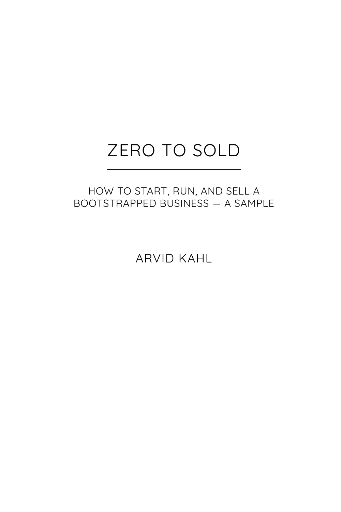# ZERO TO SOLD

### HOW TO START, RUN, AND SELL A BOOTSTRAPPED BUSINESS — A SAMPLE

ARVID KAHL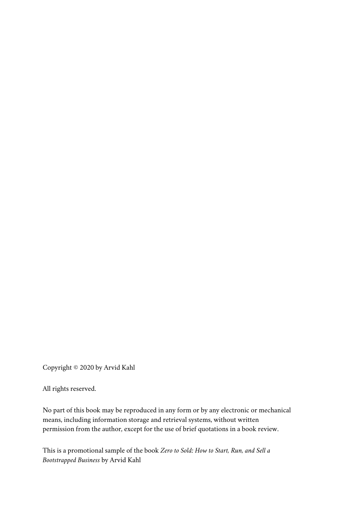Copyright © 2020 by Arvid Kahl

All rights reserved.

No part of this book may be reproduced in any form or by any electronic or mechanical means, including information storage and retrieval systems, without written permission from the author, except for the use of brief quotations in a book review.

This is a promotional sample of the book *Zero to Sold: How to Start, Run, and Sell a Bootstrapped Business* by Arvid Kahl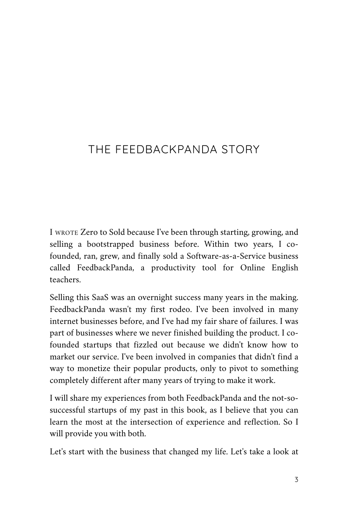### THE FEEDBACKPANDA STORY

I WROTE Zero to Sold because I've been through starting, growing, and selling a bootstrapped business before. Within two years, I cofounded, ran, grew, and finally sold a Software-as-a-Service business called FeedbackPanda, a productivity tool for Online English teachers.

Selling this SaaS was an overnight success many years in the making. FeedbackPanda wasn't my first rodeo. I've been involved in many internet businesses before, and I've had my fair share of failures. I was part of businesses where we never finished building the product. I cofounded startups that fizzled out because we didn't know how to market our service. I've been involved in companies that didn't find a way to monetize their popular products, only to pivot to something completely different after many years of trying to make it work.

I will share my experiences from both FeedbackPanda and the not-sosuccessful startups of my past in this book, as I believe that you can learn the most at the intersection of experience and reflection. So I will provide you with both.

Let's start with the business that changed my life. Let's take a look at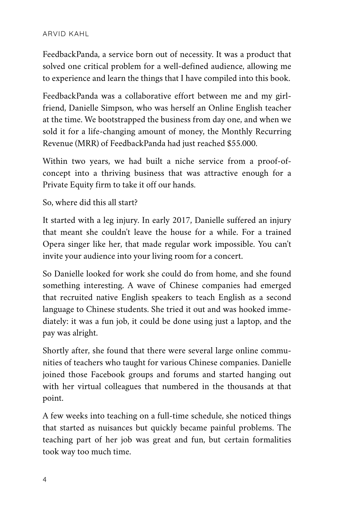FeedbackPanda, a service born out of necessity. It was a product that solved one critical problem for a well-defined audience, allowing me to experience and learn the things that I have compiled into this book.

FeedbackPanda was a collaborative effort between me and my girl‐ friend, Danielle Simpson, who was herself an Online English teacher at the time. We bootstrapped the business from day one, and when we sold it for a life-changing amount of money, the Monthly Recurring Revenue (MRR) of FeedbackPanda had just reached \$55.000.

Within two years, we had built a niche service from a proof-ofconcept into a thriving business that was attractive enough for a Private Equity firm to take it off our hands.

So, where did this all start?

It started with a leg injury. In early 2017, Danielle suffered an injury that meant she couldn't leave the house for a while. For a trained Opera singer like her, that made regular work impossible. You can't invite your audience into your living room for a concert.

So Danielle looked for work she could do from home, and she found something interesting. A wave of Chinese companies had emerged that recruited native English speakers to teach English as a second language to Chinese students. She tried it out and was hooked imme‐ diately: it was a fun job, it could be done using just a laptop, and the pay was alright.

Shortly after, she found that there were several large online commu‐ nities of teachers who taught for various Chinese companies. Danielle joined those Facebook groups and forums and started hanging out with her virtual colleagues that numbered in the thousands at that point.

A few weeks into teaching on a full-time schedule, she noticed things that started as nuisances but quickly became painful problems. The teaching part of her job was great and fun, but certain formalities took way too much time.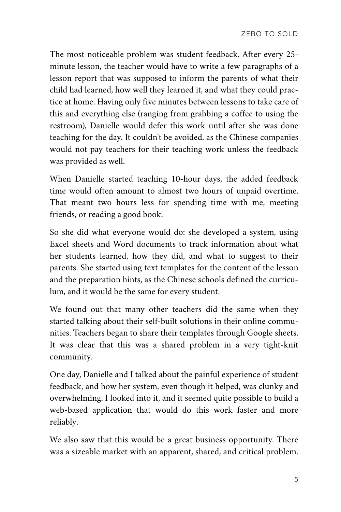The most noticeable problem was student feedback. After every 25 minute lesson, the teacher would have to write a few paragraphs of a lesson report that was supposed to inform the parents of what their child had learned, how well they learned it, and what they could prac‐ tice at home. Having only five minutes between lessons to take care of this and everything else (ranging from grabbing a coffee to using the restroom), Danielle would defer this work until after she was done teaching for the day. It couldn't be avoided, as the Chinese companies would not pay teachers for their teaching work unless the feedback was provided as well.

When Danielle started teaching 10-hour days, the added feedback time would often amount to almost two hours of unpaid overtime. That meant two hours less for spending time with me, meeting friends, or reading a good book.

So she did what everyone would do: she developed a system, using Excel sheets and Word documents to track information about what her students learned, how they did, and what to suggest to their parents. She started using text templates for the content of the lesson and the preparation hints, as the Chinese schools defined the curriculum, and it would be the same for every student.

We found out that many other teachers did the same when they started talking about their self-built solutions in their online communities. Teachers began to share their templates through Google sheets. It was clear that this was a shared problem in a very tight-knit community.

One day, Danielle and I talked about the painful experience of student feedback, and how her system, even though it helped, was clunky and overwhelming. I looked into it, and it seemed quite possible to build a web-based application that would do this work faster and more reliably.

We also saw that this would be a great business opportunity. There was a sizeable market with an apparent, shared, and critical problem.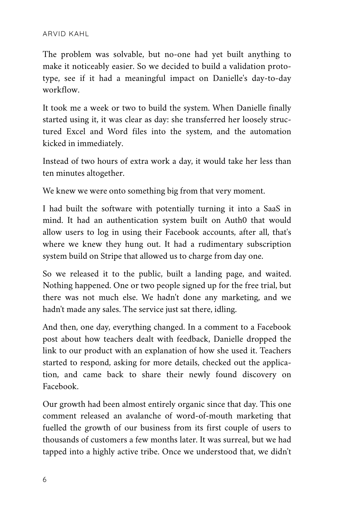The problem was solvable, but no-one had yet built anything to make it noticeably easier. So we decided to build a validation proto‐ type, see if it had a meaningful impact on Danielle's day-to-day workflow.

It took me a week or two to build the system. When Danielle finally started using it, it was clear as day: she transferred her loosely struc‐ tured Excel and Word files into the system, and the automation kicked in immediately.

Instead of two hours of extra work a day, it would take her less than ten minutes altogether.

We knew we were onto something big from that very moment.

I had built the software with potentially turning it into a SaaS in mind. It had an authentication system built on Auth0 that would allow users to log in using their Facebook accounts, after all, that's where we knew they hung out. It had a rudimentary subscription system build on Stripe that allowed us to charge from day one.

So we released it to the public, built a landing page, and waited. Nothing happened. One or two people signed up for the free trial, but there was not much else. We hadn't done any marketing, and we hadn't made any sales. The service just sat there, idling.

And then, one day, everything changed. In a comment to a Facebook post about how teachers dealt with feedback, Danielle dropped the link to our product with an explanation of how she used it. Teachers started to respond, asking for more details, checked out the application, and came back to share their newly found discovery on Facebook.

Our growth had been almost entirely organic since that day. This one comment released an avalanche of word-of-mouth marketing that fuelled the growth of our business from its first couple of users to thousands of customers a few months later. It was surreal, but we had tapped into a highly active tribe. Once we understood that, we didn't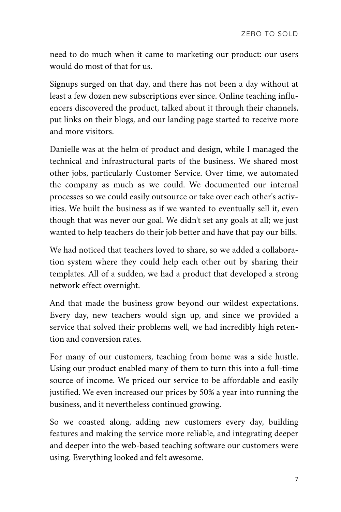need to do much when it came to marketing our product: our users would do most of that for us.

Signups surged on that day, and there has not been a day without at least a few dozen new subscriptions ever since. Online teaching influencers discovered the product, talked about it through their channels, put links on their blogs, and our landing page started to receive more and more visitors.

Danielle was at the helm of product and design, while I managed the technical and infrastructural parts of the business. We shared most other jobs, particularly Customer Service. Over time, we automated the company as much as we could. We documented our internal processes so we could easily outsource or take over each other's activities. We built the business as if we wanted to eventually sell it, even though that was never our goal. We didn't set any goals at all; we just wanted to help teachers do their job better and have that pay our bills.

We had noticed that teachers loved to share, so we added a collaboration system where they could help each other out by sharing their templates. All of a sudden, we had a product that developed a strong network effect overnight.

And that made the business grow beyond our wildest expectations. Every day, new teachers would sign up, and since we provided a service that solved their problems well, we had incredibly high retention and conversion rates.

For many of our customers, teaching from home was a side hustle. Using our product enabled many of them to turn this into a full-time source of income. We priced our service to be affordable and easily justified. We even increased our prices by 50% a year into running the business, and it nevertheless continued growing.

So we coasted along, adding new customers every day, building features and making the service more reliable, and integrating deeper and deeper into the web-based teaching software our customers were using. Everything looked and felt awesome.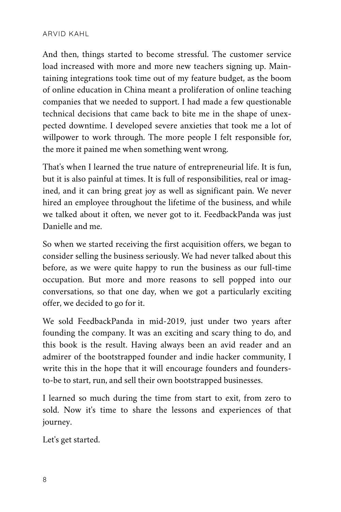And then, things started to become stressful. The customer service load increased with more and more new teachers signing up. Main‐ taining integrations took time out of my feature budget, as the boom of online education in China meant a proliferation of online teaching companies that we needed to support. I had made a few questionable technical decisions that came back to bite me in the shape of unexpected downtime. I developed severe anxieties that took me a lot of willpower to work through. The more people I felt responsible for, the more it pained me when something went wrong.

That's when I learned the true nature of entrepreneurial life. It is fun, but it is also painful at times. It is full of responsibilities, real or imagined, and it can bring great joy as well as significant pain. We never hired an employee throughout the lifetime of the business, and while we talked about it often, we never got to it. FeedbackPanda was just Danielle and me.

So when we started receiving the first acquisition offers, we began to consider selling the business seriously. We had never talked about this before, as we were quite happy to run the business as our full-time occupation. But more and more reasons to sell popped into our conversations, so that one day, when we got a particularly exciting offer, we decided to go for it.

We sold FeedbackPanda in mid-2019, just under two years after founding the company. It was an exciting and scary thing to do, and this book is the result. Having always been an avid reader and an admirer of the bootstrapped founder and indie hacker community, I write this in the hope that it will encourage founders and foundersto-be to start, run, and sell their own bootstrapped businesses.

I learned so much during the time from start to exit, from zero to sold. Now it's time to share the lessons and experiences of that journey.

Let's get started.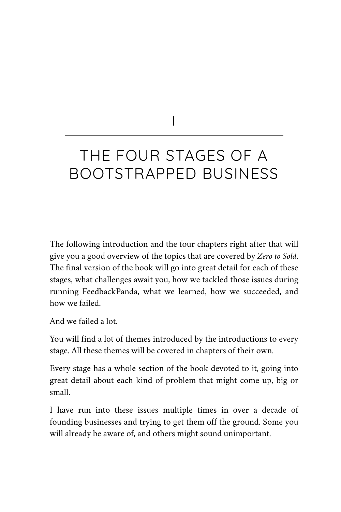I

# THE FOUR STAGES OF A BOOTSTRAPPED BUSINESS

The following introduction and the four chapters right after that will give you a good overview of the topics that are covered by *Zero to Sold*. The final version of the book will go into great detail for each of these stages, what challenges await you, how we tackled those issues during running FeedbackPanda, what we learned, how we succeeded, and how we failed.

And we failed a lot.

You will find a lot of themes introduced by the introductions to every stage. All these themes will be covered in chapters of their own.

Every stage has a whole section of the book devoted to it, going into great detail about each kind of problem that might come up, big or small.

I have run into these issues multiple times in over a decade of founding businesses and trying to get them off the ground. Some you will already be aware of, and others might sound unimportant.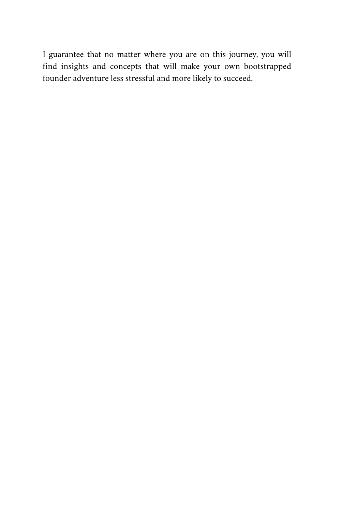I guarantee that no matter where you are on this journey, you will find insights and concepts that will make your own bootstrapped founder adventure less stressful and more likely to succeed.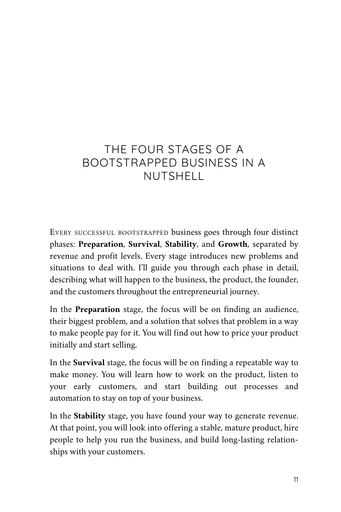### THE FOUR STAGES OF A BOOTSTRAPPED BUSINESS IN A NUTSHELL

EVERY SUCCESSFUL BOOTSTRAPPED business goes through four distinct phases: **Preparation**, **Survival**, **Stability**, and **Growth**, separated by revenue and profit levels. Every stage introduces new problems and situations to deal with. I'll guide you through each phase in detail, describing what will happen to the business, the product, the founder, and the customers throughout the entrepreneurial journey.

In the **Preparation** stage, the focus will be on finding an audience, their biggest problem, and a solution that solves that problem in a way to make people pay for it. You will find out how to price your product initially and start selling.

In the **Survival** stage, the focus will be on finding a repeatable way to make money. You will learn how to work on the product, listen to your early customers, and start building out processes and automation to stay on top of your business.

In the **Stability** stage, you have found your way to generate revenue. At that point, you will look into offering a stable, mature product, hire people to help you run the business, and build long-lasting relation‐ ships with your customers.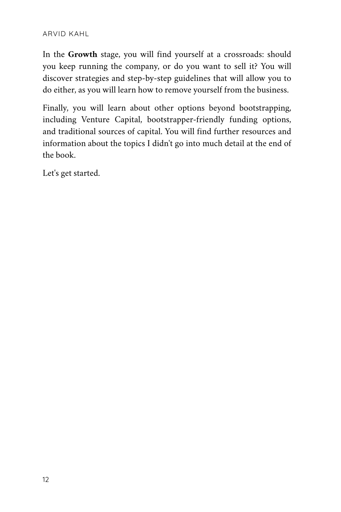In the **Growth** stage, you will find yourself at a crossroads: should you keep running the company, or do you want to sell it? You will discover strategies and step-by-step guidelines that will allow you to do either, as you will learn how to remove yourself from the business.

Finally, you will learn about other options beyond bootstrapping, including Venture Capital, bootstrapper-friendly funding options, and traditional sources of capital. You will find further resources and information about the topics I didn't go into much detail at the end of the book.

Let's get started.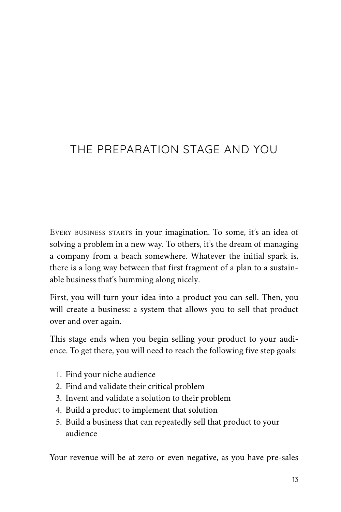# THE PREPARATION STAGE AND YOU

EVERY BUSINESS STARTS in your imagination. To some, it's an idea of solving a problem in a new way. To others, it's the dream of managing a company from a beach somewhere. Whatever the initial spark is, there is a long way between that first fragment of a plan to a sustain‐ able business that's humming along nicely.

First, you will turn your idea into a product you can sell. Then, you will create a business: a system that allows you to sell that product over and over again.

This stage ends when you begin selling your product to your audi‐ ence. To get there, you will need to reach the following five step goals:

- 1. Find your niche audience
- 2. Find and validate their critical problem
- 3. Invent and validate a solution to their problem
- 4. Build a product to implement that solution
- 5. Build a business that can repeatedly sell that product to your audience

Your revenue will be at zero or even negative, as you have pre-sales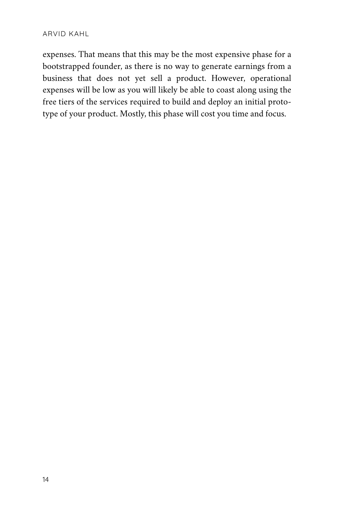expenses. That means that this may be the most expensive phase for a bootstrapped founder, as there is no way to generate earnings from a business that does not yet sell a product. However, operational expenses will be low as you will likely be able to coast along using the free tiers of the services required to build and deploy an initial proto‐ type of your product. Mostly, this phase will cost you time and focus.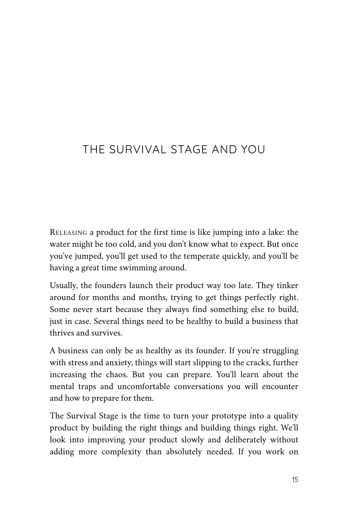### THE SURVIVAL STAGE AND YOU

RELEASING a product for the first time is like jumping into a lake: the water might be too cold, and you don't know what to expect. But once you've jumped, you'll get used to the temperate quickly, and you'll be having a great time swimming around.

Usually, the founders launch their product way too late. They tinker around for months and months, trying to get things perfectly right. Some never start because they always find something else to build, just in case. Several things need to be healthy to build a business that thrives and survives.

A business can only be as healthy as its founder. If you're struggling with stress and anxiety, things will start slipping to the cracks, further increasing the chaos. But you can prepare. You'll learn about the mental traps and uncomfortable conversations you will encounter and how to prepare for them.

The Survival Stage is the time to turn your prototype into a quality product by building the right things and building things right. We'll look into improving your product slowly and deliberately without adding more complexity than absolutely needed. If you work on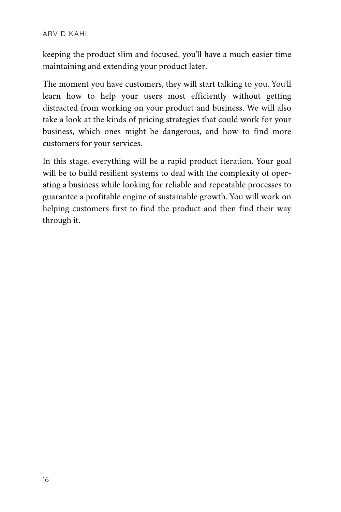keeping the product slim and focused, you'll have a much easier time maintaining and extending your product later.

The moment you have customers, they will start talking to you. You'll learn how to help your users most efficiently without getting distracted from working on your product and business. We will also take a look at the kinds of pricing strategies that could work for your business, which ones might be dangerous, and how to find more customers for your services.

In this stage, everything will be a rapid product iteration. Your goal will be to build resilient systems to deal with the complexity of oper‐ ating a business while looking for reliable and repeatable processes to guarantee a profitable engine of sustainable growth. You will work on helping customers first to find the product and then find their way through it.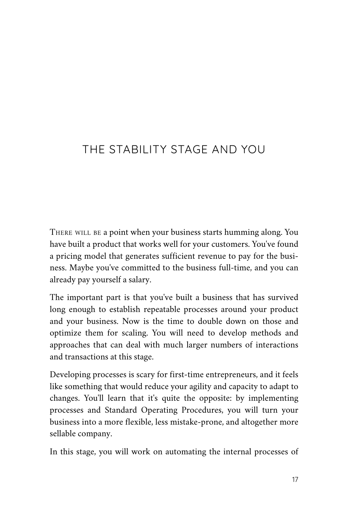# THE STABILITY STAGE AND YOU

THERE WILL BE a point when your business starts humming along. You have built a product that works well for your customers. You've found a pricing model that generates sufficient revenue to pay for the business. Maybe you've committed to the business full-time, and you can already pay yourself a salary.

The important part is that you've built a business that has survived long enough to establish repeatable processes around your product and your business. Now is the time to double down on those and optimize them for scaling. You will need to develop methods and approaches that can deal with much larger numbers of interactions and transactions at this stage.

Developing processes is scary for first-time entrepreneurs, and it feels like something that would reduce your agility and capacity to adapt to changes. You'll learn that it's quite the opposite: by implementing processes and Standard Operating Procedures, you will turn your business into a more flexible, less mistake-prone, and altogether more sellable company.

In this stage, you will work on automating the internal processes of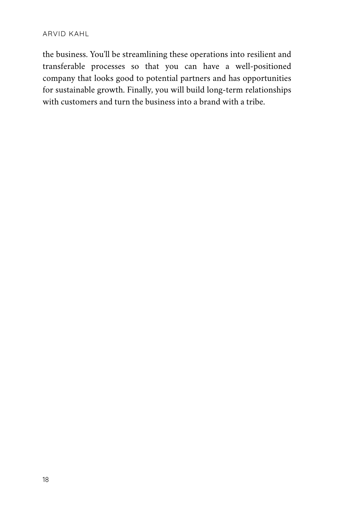the business. You'll be streamlining these operations into resilient and transferable processes so that you can have a well-positioned company that looks good to potential partners and has opportunities for sustainable growth. Finally, you will build long-term relationships with customers and turn the business into a brand with a tribe.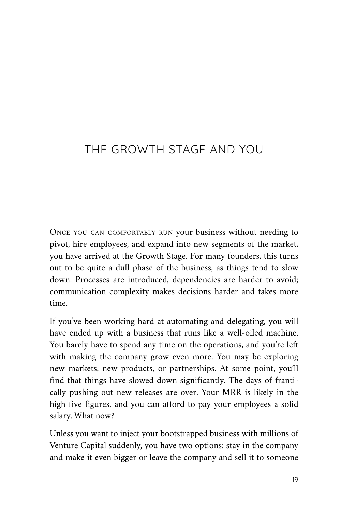### THE GROWTH STAGE AND YOU

ONCE YOU CAN COMFORTABLY RUN your business without needing to pivot, hire employees, and expand into new segments of the market, you have arrived at the Growth Stage. For many founders, this turns out to be quite a dull phase of the business, as things tend to slow down. Processes are introduced, dependencies are harder to avoid; communication complexity makes decisions harder and takes more time.

If you've been working hard at automating and delegating, you will have ended up with a business that runs like a well-oiled machine. You barely have to spend any time on the operations, and you're left with making the company grow even more. You may be exploring new markets, new products, or partnerships. At some point, you'll find that things have slowed down significantly. The days of frantically pushing out new releases are over. Your MRR is likely in the high five figures, and you can afford to pay your employees a solid salary. What now?

Unless you want to inject your bootstrapped business with millions of Venture Capital suddenly, you have two options: stay in the company and make it even bigger or leave the company and sell it to someone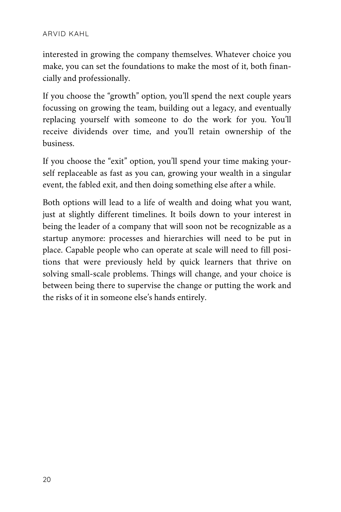interested in growing the company themselves. Whatever choice you make, you can set the foundations to make the most of it, both financially and professionally.

If you choose the "growth" option, you'll spend the next couple years focussing on growing the team, building out a legacy, and eventually replacing yourself with someone to do the work for you. You'll receive dividends over time, and you'll retain ownership of the business.

If you choose the "exit" option, you'll spend your time making yourself replaceable as fast as you can, growing your wealth in a singular event, the fabled exit, and then doing something else after a while.

Both options will lead to a life of wealth and doing what you want, just at slightly different timelines. It boils down to your interest in being the leader of a company that will soon not be recognizable as a startup anymore: processes and hierarchies will need to be put in place. Capable people who can operate at scale will need to fill positions that were previously held by quick learners that thrive on solving small-scale problems. Things will change, and your choice is between being there to supervise the change or putting the work and the risks of it in someone else's hands entirely.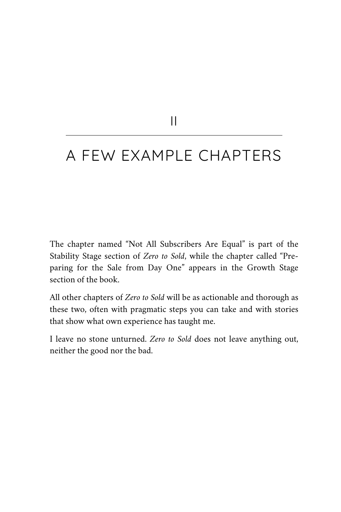II

# A FEW EXAMPLE CHAPTERS

The chapter named "Not All Subscribers Are Equal" is part of the Stability Stage section of *Zero to Sold*, while the chapter called "Pre‐ paring for the Sale from Day One" appears in the Growth Stage section of the book.

All other chapters of *Zero to Sold* will be as actionable and thorough as these two, often with pragmatic steps you can take and with stories that show what own experience has taught me.

I leave no stone unturned. *Zero to Sold* does not leave anything out, neither the good nor the bad.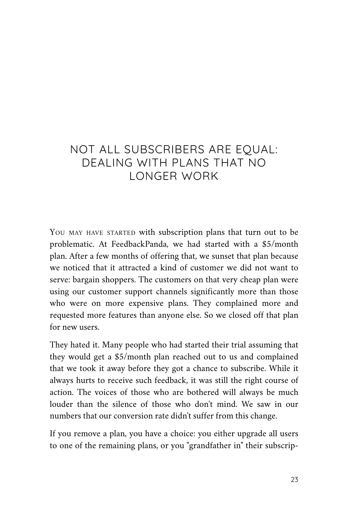### NOT ALL SUBSCRIBERS ARE EQUAL: DEALING WITH PLANS THAT NO LONGER WORK

YOU MAY HAVE STARTED with subscription plans that turn out to be problematic. At FeedbackPanda, we had started with a \$5/month plan. After a few months of offering that, we sunset that plan because we noticed that it attracted a kind of customer we did not want to serve: bargain shoppers. The customers on that very cheap plan were using our customer support channels significantly more than those who were on more expensive plans. They complained more and requested more features than anyone else. So we closed off that plan for new users.

They hated it. Many people who had started their trial assuming that they would get a \$5/month plan reached out to us and complained that we took it away before they got a chance to subscribe. While it always hurts to receive such feedback, it was still the right course of action. The voices of those who are bothered will always be much louder than the silence of those who don't mind. We saw in our numbers that our conversion rate didn't suffer from this change.

If you remove a plan, you have a choice: you either upgrade all users to one of the remaining plans, or you "grandfather in" their subscrip‐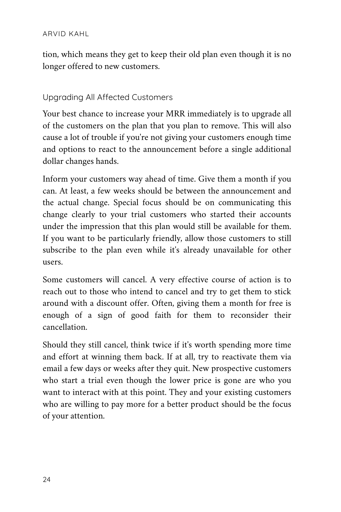tion, which means they get to keep their old plan even though it is no longer offered to new customers.

### Upgrading All Affected Customers

Your best chance to increase your MRR immediately is to upgrade all of the customers on the plan that you plan to remove. This will also cause a lot of trouble if you're not giving your customers enough time and options to react to the announcement before a single additional dollar changes hands.

Inform your customers way ahead of time. Give them a month if you can. At least, a few weeks should be between the announcement and the actual change. Special focus should be on communicating this change clearly to your trial customers who started their accounts under the impression that this plan would still be available for them. If you want to be particularly friendly, allow those customers to still subscribe to the plan even while it's already unavailable for other users.

Some customers will cancel. A very effective course of action is to reach out to those who intend to cancel and try to get them to stick around with a discount offer. Often, giving them a month for free is enough of a sign of good faith for them to reconsider their cancellation.

Should they still cancel, think twice if it's worth spending more time and effort at winning them back. If at all, try to reactivate them via email a few days or weeks after they quit. New prospective customers who start a trial even though the lower price is gone are who you want to interact with at this point. They and your existing customers who are willing to pay more for a better product should be the focus of your attention.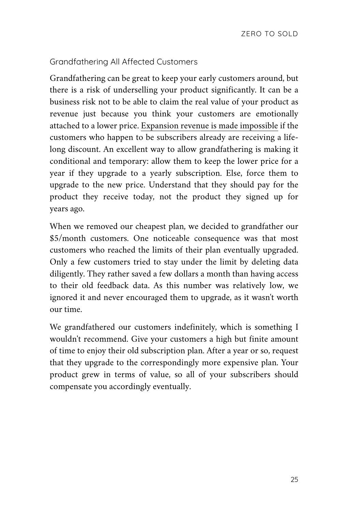### Grandfathering All Affected Customers

Grandfathering can be great to keep your early customers around, but there is a risk of underselling your product significantly. It can be a business risk not to be able to claim the real value of your product as revenue just because you think your customers are emotionally attached to a lower price. Expansion revenue is made impossible if the customers who happen to be subscribers already are receiving a lifelong discount. An excellent way to allow grandfathering is making it conditional and temporary: allow them to keep the lower price for a year if they upgrade to a yearly subscription. Else, force them to upgrade to the new price. Understand that they should pay for the product they receive today, not the product they signed up for years ago.

When we removed our cheapest plan, we decided to grandfather our \$5/month customers. One noticeable consequence was that most customers who reached the limits of their plan eventually upgraded. Only a few customers tried to stay under the limit by deleting data diligently. They rather saved a few dollars a month than having access to their old feedback data. As this number was relatively low, we ignored it and never encouraged them to upgrade, as it wasn't worth our time.

We grandfathered our customers indefinitely, which is something I wouldn't recommend. Give your customers a high but finite amount of time to enjoy their old subscription plan. After a year or so, request that they upgrade to the correspondingly more expensive plan. Your product grew in terms of value, so all of your subscribers should compensate you accordingly eventually.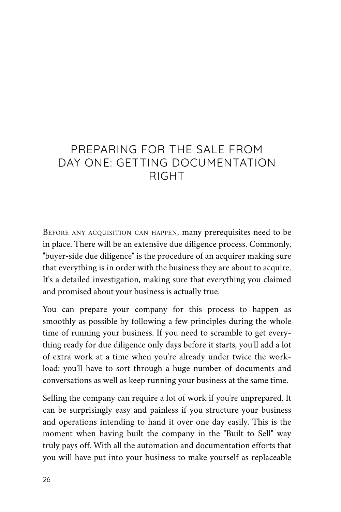### PREPARING FOR THE SALE FROM DAY ONE: GETTING DOCUMENTATION RIGHT

BEFORE ANY ACQUISITION CAN HAPPEN, many prerequisites need to be in place. There will be an extensive due diligence process. Commonly, "buyer-side due diligence" is the procedure of an acquirer making sure that everything is in order with the business they are about to acquire. It's a detailed investigation, making sure that everything you claimed and promised about your business is actually true.

You can prepare your company for this process to happen as smoothly as possible by following a few principles during the whole time of running your business. If you need to scramble to get every‐ thing ready for due diligence only days before it starts, you'll add a lot of extra work at a time when you're already under twice the work‐ load: you'll have to sort through a huge number of documents and conversations as well as keep running your business at the same time.

Selling the company can require a lot of work if you're unprepared. It can be surprisingly easy and painless if you structure your business and operations intending to hand it over one day easily. This is the moment when having built the company in the "Built to Sell" way truly pays off. With all the automation and documentation efforts that you will have put into your business to make yourself as replaceable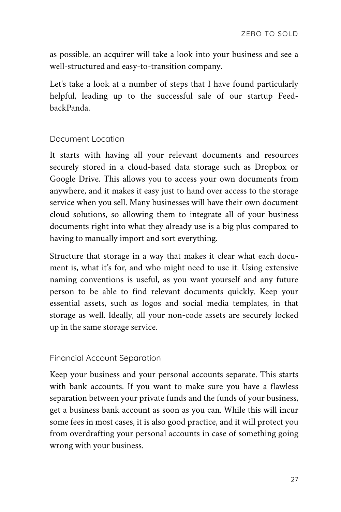as possible, an acquirer will take a look into your business and see a well-structured and easy-to-transition company.

Let's take a look at a number of steps that I have found particularly helpful, leading up to the successful sale of our startup Feed‐ backPanda.

#### Document Location

It starts with having all your relevant documents and resources securely stored in a cloud-based data storage such as Dropbox or Google Drive. This allows you to access your own documents from anywhere, and it makes it easy just to hand over access to the storage service when you sell. Many businesses will have their own document cloud solutions, so allowing them to integrate all of your business documents right into what they already use is a big plus compared to having to manually import and sort everything.

Structure that storage in a way that makes it clear what each document is, what it's for, and who might need to use it. Using extensive naming conventions is useful, as you want yourself and any future person to be able to find relevant documents quickly. Keep your essential assets, such as logos and social media templates, in that storage as well. Ideally, all your non-code assets are securely locked up in the same storage service.

#### Financial Account Separation

Keep your business and your personal accounts separate. This starts with bank accounts. If you want to make sure you have a flawless separation between your private funds and the funds of your business, get a business bank account as soon as you can. While this will incur some fees in most cases, it is also good practice, and it will protect you from overdrafting your personal accounts in case of something going wrong with your business.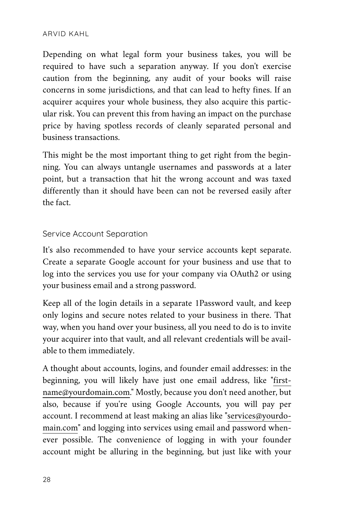Depending on what legal form your business takes, you will be required to have such a separation anyway. If you don't exercise caution from the beginning, any audit of your books will raise concerns in some jurisdictions, and that can lead to hefty fines. If an acquirer acquires your whole business, they also acquire this particular risk. You can prevent this from having an impact on the purchase price by having spotless records of cleanly separated personal and business transactions.

This might be the most important thing to get right from the beginning. You can always untangle usernames and passwords at a later point, but a transaction that hit the wrong account and was taxed differently than it should have been can not be reversed easily after the fact.

### Service Account Separation

It's also recommended to have your service accounts kept separate. Create a separate Google account for your business and use that to log into the services you use for your company via OAuth2 or using your business email and a strong password.

Keep all of the login details in a separate 1Password vault, and keep only logins and secure notes related to your business in there. That way, when you hand over your business, all you need to do is to invite your acquirer into that vault, and all relevant credentials will be avail‐ able to them immediately.

A thought about accounts, logins, and founder email addresses: in the beginning, you will likely have just one email address, like "first‐ name@yourdomain.com." Mostly, because you don't need another, but also, because if you're using Google Accounts, you will pay per account. I recommend at least making an alias like "services@yourdo‐ main.com" and logging into services using email and password when‐ ever possible. The convenience of logging in with your founder account might be alluring in the beginning, but just like with your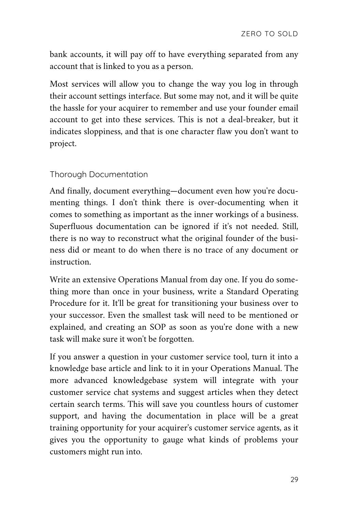bank accounts, it will pay off to have everything separated from any account that is linked to you as a person.

Most services will allow you to change the way you log in through their account settings interface. But some may not, and it will be quite the hassle for your acquirer to remember and use your founder email account to get into these services. This is not a deal-breaker, but it indicates sloppiness, and that is one character flaw you don't want to project.

### Thorough Documentation

And finally, document everything—document even how you're documenting things. I don't think there is over-documenting when it comes to something as important as the inner workings of a business. Superfluous documentation can be ignored if it's not needed. Still, there is no way to reconstruct what the original founder of the business did or meant to do when there is no trace of any document or instruction.

Write an extensive Operations Manual from day one. If you do some‐ thing more than once in your business, write a Standard Operating Procedure for it. It'll be great for transitioning your business over to your successor. Even the smallest task will need to be mentioned or explained, and creating an SOP as soon as you're done with a new task will make sure it won't be forgotten.

If you answer a question in your customer service tool, turn it into a knowledge base article and link to it in your Operations Manual. The more advanced knowledgebase system will integrate with your customer service chat systems and suggest articles when they detect certain search terms. This will save you countless hours of customer support, and having the documentation in place will be a great training opportunity for your acquirer's customer service agents, as it gives you the opportunity to gauge what kinds of problems your customers might run into.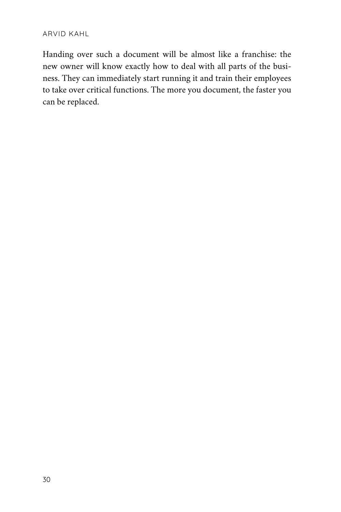Handing over such a document will be almost like a franchise: the new owner will know exactly how to deal with all parts of the business. They can immediately start running it and train their employees to take over critical functions. The more you document, the faster you can be replaced.